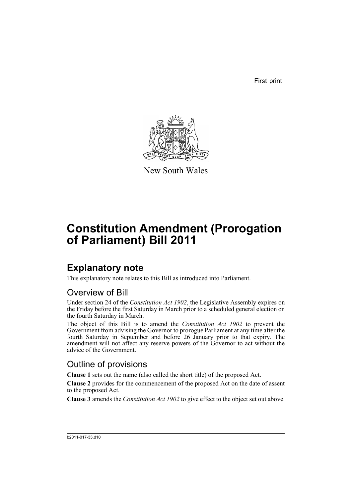First print



New South Wales

# **Constitution Amendment (Prorogation of Parliament) Bill 2011**

### **Explanatory note**

This explanatory note relates to this Bill as introduced into Parliament.

#### Overview of Bill

Under section 24 of the *Constitution Act 1902*, the Legislative Assembly expires on the Friday before the first Saturday in March prior to a scheduled general election on the fourth Saturday in March.

The object of this Bill is to amend the *Constitution Act 1902* to prevent the Government from advising the Governor to prorogue Parliament at any time after the fourth Saturday in September and before 26 January prior to that expiry. The amendment will not affect any reserve powers of the Governor to act without the advice of the Government.

#### Outline of provisions

**Clause 1** sets out the name (also called the short title) of the proposed Act.

**Clause 2** provides for the commencement of the proposed Act on the date of assent to the proposed Act.

**Clause 3** amends the *Constitution Act 1902* to give effect to the object set out above.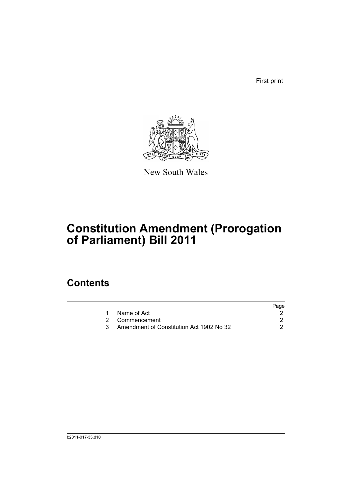First print



New South Wales

# **Constitution Amendment (Prorogation of Parliament) Bill 2011**

### **Contents**

| Page                                     |
|------------------------------------------|
|                                          |
|                                          |
| Amendment of Constitution Act 1902 No 32 |
|                                          |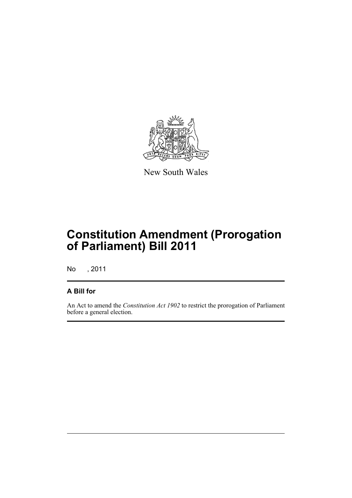

New South Wales

## **Constitution Amendment (Prorogation of Parliament) Bill 2011**

No , 2011

#### **A Bill for**

An Act to amend the *Constitution Act 1902* to restrict the prorogation of Parliament before a general election.